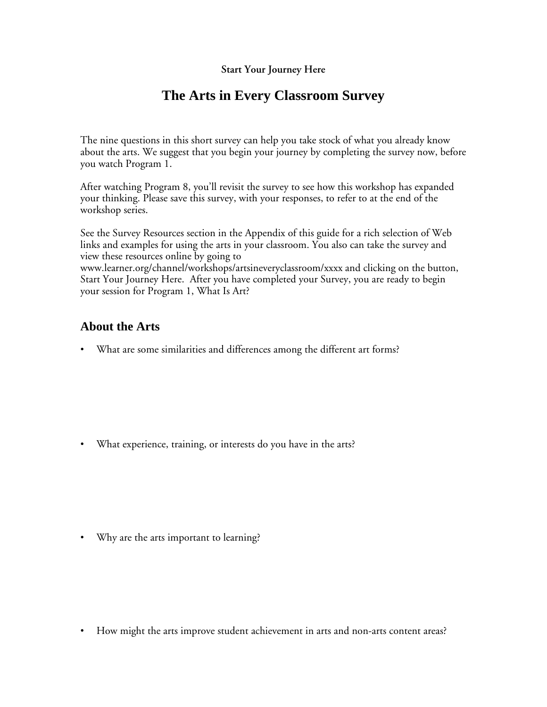## **Start Your Journey Here**

## **The Arts in Every Classroom Survey**

The nine questions in this short survey can help you take stock of what you already know about the arts. We suggest that you begin your journey by completing the survey now, before you watch Program 1.

After watching Program 8, you'll revisit the survey to see how this workshop has expanded your thinking. Please save this survey, with your responses, to refer to at the end of the workshop series.

See the Survey Resources section in the Appendix of this guide for a rich selection of Web links and examples for using the arts in your classroom. You also can take the survey and view these resources online by going to www.learner.org/channel/workshops/artsineveryclassroom/xxxx and clicking on the button, Start Your Journey Here. After you have completed your Survey, you are ready to begin your session for Program 1, What Is Art?

## **About the Arts**

• What are some similarities and differences among the different art forms?

• What experience, training, or interests do you have in the arts?

• Why are the arts important to learning?

• How might the arts improve student achievement in arts and non-arts content areas?